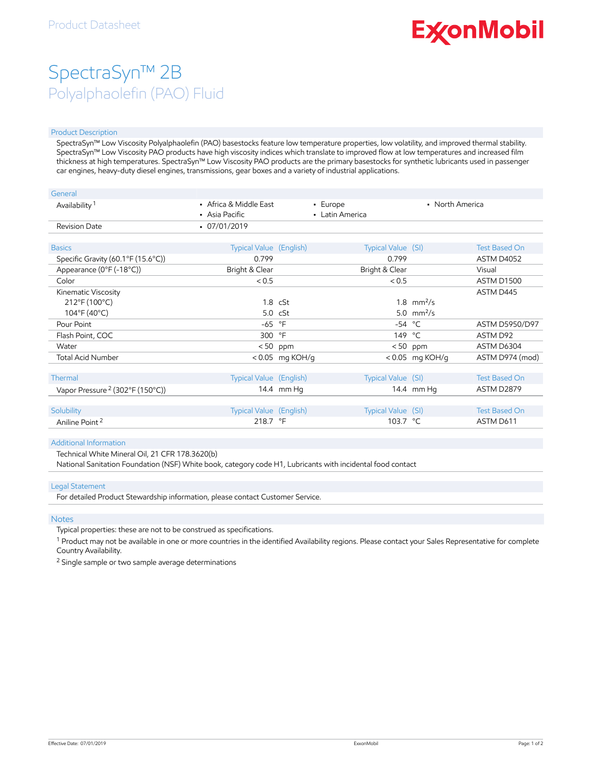# **ExconMobil**

## SpectraSyn™ 2B Polyalphaolefin (PAO) Fluid

#### Product Description

SpectraSyn™ Low Viscosity Polyalphaolefin (PAO) basestocks feature low temperature properties, low volatility, and improved thermal stability. SpectraSyn™ Low Viscosity PAO products have high viscosity indices which translate to improved flow at low temperatures and increased film thickness at high temperatures. SpectraSyn™ Low Viscosity PAO products are the primary basestocks for synthetic lubricants used in passenger car engines, heavy-duty diesel engines, transmissions, gear boxes and a variety of industrial applications.

| General                                     |                                          |                   |                             |                   |                       |
|---------------------------------------------|------------------------------------------|-------------------|-----------------------------|-------------------|-----------------------|
| Availability <sup>1</sup>                   | • Africa & Middle East<br>• Asia Pacific |                   | • Europe<br>• Latin America | • North America   |                       |
| Revision Date                               | $-07/01/2019$                            |                   |                             |                   |                       |
| <b>Basics</b>                               | Typical Value (English)                  |                   | Typical Value (SI)          |                   | <b>Test Based On</b>  |
| Specific Gravity (60.1°F (15.6°C))          | 0.799                                    |                   | 0.799                       |                   | ASTM D4052            |
| Appearance (0°F (-18°C))                    | Bright & Clear                           |                   | Bright & Clear              |                   | Visual                |
| Color                                       | < 0.5                                    |                   | < 0.5                       |                   | <b>ASTM D1500</b>     |
| Kinematic Viscosity                         |                                          |                   |                             |                   | ASTM D445             |
| 212°F (100°C)                               |                                          | $1.8$ cSt         |                             | 1.8 $mm^2/s$      |                       |
| $104^{\circ}F(40^{\circ}C)$                 |                                          | $5.0 \cS$ t       |                             | 5.0 $mm^2/s$      |                       |
| Pour Point                                  | $-65$ °F                                 |                   |                             | $-54 °C$          | <b>ASTM D5950/D97</b> |
| Flash Point, COC                            | 300 °F                                   |                   |                             | 149 °C            | ASTM D92              |
| Water                                       |                                          | $< 50$ ppm        |                             | $< 50$ ppm        | ASTM D6304            |
| <b>Total Acid Number</b>                    |                                          | $< 0.05$ mg KOH/g |                             | $< 0.05$ mg KOH/g | ASTM D974 (mod)       |
|                                             |                                          |                   |                             |                   |                       |
| Thermal                                     | Typical Value (English)                  |                   | Typical Value (SI)          |                   | <b>Test Based On</b>  |
| Vapor Pressure <sup>2</sup> (302°F (150°C)) |                                          | 14.4 mm Ha        |                             | 14.4 mm Hg        | ASTM D2879            |
|                                             |                                          |                   |                             |                   |                       |
| Solubility                                  | <b>Typical Value</b> (English)           |                   | Typical Value (SI)          |                   | <b>Test Based On</b>  |
| Aniline Point <sup>2</sup>                  | 218.7 °F                                 |                   | 103.7 °C                    |                   | ASTM D611             |

#### Additional Information

Technical White Mineral Oil, 21 CFR 178.3620(b)

National Sanitation Foundation (NSF) White book, category code H1, Lubricants with incidental food contact

#### Legal Statement

For detailed Product Stewardship information, please contact Customer Service.

#### **Notes**

Typical properties: these are not to be construed as specifications.

 $^1$  Product may not be available in one or more countries in the identified Availability regions. Please contact your Sales Representative for complete Country Availability.

<sup>2</sup> Single sample or two sample average determinations